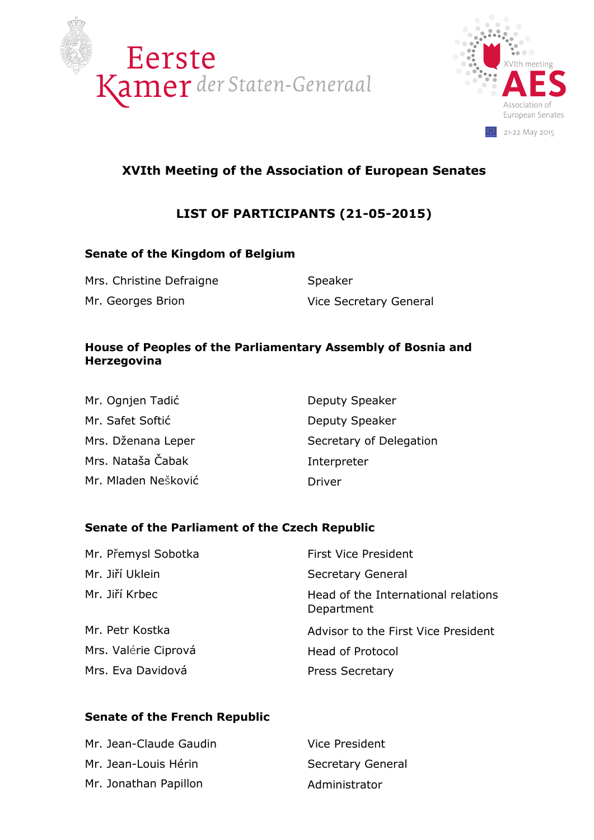



# **XVIth Meeting of the Association of European Senates**

# **LIST OF PARTICIPANTS (21-05-2015)**

### **Senate of the Kingdom of Belgium**

Mrs. Christine Defraigne **Speaker** Speaker Mr. Georges Brion Vice Secretary General

### **House of Peoples of the Parliamentary Assembly of Bosnia and Herzegovina**

| Mr. Ognjen Tadić    | Deputy Speaker          |
|---------------------|-------------------------|
| Mr. Safet Softić    | Deputy Speaker          |
| Mrs. Dženana Leper  | Secretary of Delegation |
| Mrs. Nataša Čabak   | Interpreter             |
| Mr. Mladen Nešković | Driver                  |

### **Senate of the Parliament of the Czech Republic**

| Mr. Přemysl Sobotka  | <b>First Vice President</b>                       |
|----------------------|---------------------------------------------------|
| Mr. Jiří Uklein      | <b>Secretary General</b>                          |
| Mr. Jiří Krbec       | Head of the International relations<br>Department |
| Mr. Petr Kostka      | Advisor to the First Vice President               |
| Mrs. Valérie Ciprová | <b>Head of Protocol</b>                           |
| Mrs. Eva Davidová    | <b>Press Secretary</b>                            |

### **Senate of the French Republic**

| Mr. Jean-Claude Gaudin | Vice President           |
|------------------------|--------------------------|
| Mr. Jean-Louis Hérin   | <b>Secretary General</b> |
| Mr. Jonathan Papillon  | Administrator            |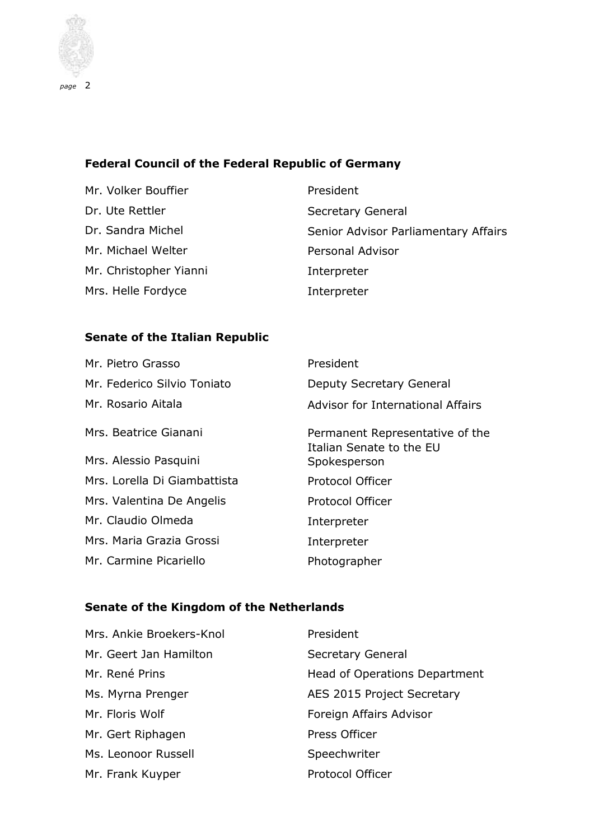

### **Federal Council of the Federal Republic of Germany**

Mr. Volker Bouffier **President** Dr. Ute Rettler Secretary General Mr. Michael Welter **Personal Advisor** Mr. Christopher Yianni **Interpreter** Mrs. Helle Fordyce **Interpreter** 

Dr. Sandra Michel Senior Advisor Parliamentary Affairs

### **Senate of the Italian Republic**

| Mr. Pietro Grasso            | President                                                   |
|------------------------------|-------------------------------------------------------------|
| Mr. Federico Silvio Toniato  | Deputy Secretary General                                    |
| Mr. Rosario Aitala           | <b>Advisor for International Affairs</b>                    |
| Mrs. Beatrice Gianani        | Permanent Representative of the<br>Italian Senate to the EU |
| Mrs. Alessio Pasquini        | Spokesperson                                                |
| Mrs. Lorella Di Giambattista | <b>Protocol Officer</b>                                     |
| Mrs. Valentina De Angelis    | <b>Protocol Officer</b>                                     |
| Mr. Claudio Olmeda           | Interpreter                                                 |
| Mrs. Maria Grazia Grossi     | Interpreter                                                 |
| Mr. Carmine Picariello       | Photographer                                                |

### **Senate of the Kingdom of the Netherlands**

| Mrs. Ankie Broekers-Knol | President                     |
|--------------------------|-------------------------------|
| Mr. Geert Jan Hamilton   | Secretary General             |
| Mr. René Prins           | Head of Operations Department |
| Ms. Myrna Prenger        | AES 2015 Project Secretary    |
| Mr. Floris Wolf          | Foreign Affairs Advisor       |
| Mr. Gert Riphagen        | Press Officer                 |
| Ms. Leonoor Russell      | Speechwriter                  |
| Mr. Frank Kuyper         | <b>Protocol Officer</b>       |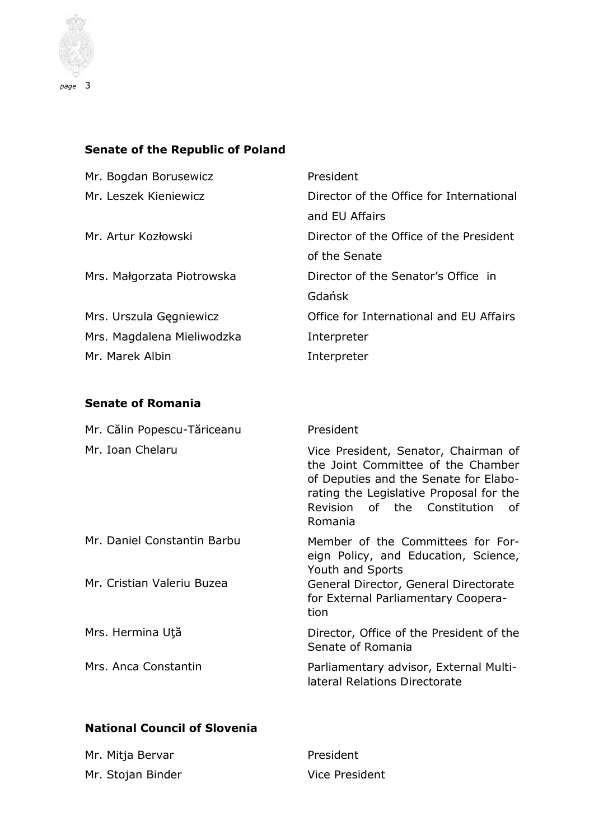

# **Senate of the Republic of Poland**

| Mr. Bogdan Borusewicz       | President                                                                                                                                                                                                          |
|-----------------------------|--------------------------------------------------------------------------------------------------------------------------------------------------------------------------------------------------------------------|
| Mr. Leszek Kieniewicz       | Director of the Office for International<br>and EU Affairs                                                                                                                                                         |
| Mr. Artur Kozłowski         | Director of the Office of the President<br>of the Senate                                                                                                                                                           |
| Mrs. Małgorzata Piotrowska  | Director of the Senator's Office in<br>Gdańsk                                                                                                                                                                      |
| Mrs. Urszula Gęgniewicz     | Office for International and EU Affairs                                                                                                                                                                            |
| Mrs. Magdalena Mieliwodzka  | Interpreter                                                                                                                                                                                                        |
| Mr. Marek Albin             | Interpreter                                                                                                                                                                                                        |
| <b>Senate of Romania</b>    |                                                                                                                                                                                                                    |
| Mr. Călin Popescu-Tăriceanu | President                                                                                                                                                                                                          |
|                             |                                                                                                                                                                                                                    |
| Mr. Ioan Chelaru            | Vice President, Senator, Chairman of<br>the Joint Committee of the Chamber<br>of Deputies and the Senate for Elabo-<br>rating the Legislative Proposal for the<br>Revision<br>of the Constitution<br>οf<br>Romania |
| Mr. Daniel Constantin Barbu | Member of the Committees for For-<br>eign Policy, and Education, Science,                                                                                                                                          |
| Mr. Cristian Valeriu Buzea  | Youth and Sports<br>General Director, General Directorate<br>for External Parliamentary Coopera-<br>tion                                                                                                           |
| Mrs. Hermina Ută            | Director, Office of the President of the<br>Senate of Romania                                                                                                                                                      |
| Mrs. Anca Constantin        | Parliamentary advisor, External Multi-<br>lateral Relations Directorate                                                                                                                                            |

## **National Council of Slovenia**

| Mr. Mitja Bervar  | President      |
|-------------------|----------------|
| Mr. Stojan Binder | Vice President |